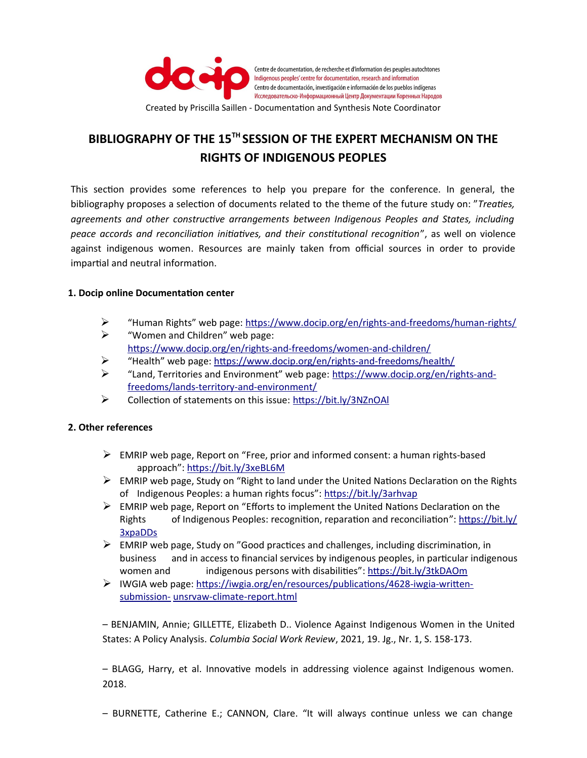

## **BIBLIOGRAPHY OF THE 15TH SESSION OF THE EXPERT MECHANISM ON THE RIGHTS OF INDIGENOUS PEOPLES**

This section provides some references to help you prepare for the conference. In general, the bibliography proposes a selection of documents related to the theme of the future study on: "*Treaties, agreements and other constructive arrangements between Indigenous Peoples and States, including peace accords and reconciliation initiatives, and their constitutional recognition*", as well on violence against indigenous women. Resources are mainly taken from official sources in order to provide impartial and neutral information.

## **1. Docip online Documentation center**

- ➢ "Human Rights" web page: <https://www.docip.org/en/rights-and-freedoms/human-rights/>
- $\triangleright$  "Women and Children" web page: <https://www.docip.org/en/rights-and-freedoms/women-and-children/>
- ➢ "Health" web page:<https://www.docip.org/en/rights-and-freedoms/health/>
- ➢ "Land, Territories and Environment" web page: [https://www.docip.org/en/rights-and](https://www.docip.org/en/rights-and-freedoms/lands-territory-and-environment/)[freedoms/lands-territory-and-environment/](https://www.docip.org/en/rights-and-freedoms/lands-territory-and-environment/)
- ➢ Collection of statements on this issue:<https://bit.ly/3NZnOAl>

## **2. Other references**

- $\triangleright$  EMRIP web page, Report on "Free, prior and informed consent: a human rights-based approach":<https://bit.ly/3xeBL6M>
- $\triangleright$  EMRIP web page, Study on "Right to land under the United Nations Declaration on the Rights of Indigenous Peoples: a human rights focus":<https://bit.ly/3arhvap>
- $\triangleright$  EMRIP web page, Report on "Efforts to implement the United Nations Declaration on the Rights of Indigenous Peoples: recognition, reparation and reconciliation": [https://bit.ly/](https://bit.ly/3xpaDDs) [3xpaDDs](https://bit.ly/3xpaDDs)
- $\triangleright$  EMRIP web page, Study on "Good practices and challenges, including discrimination, in business and in access to financial services by indigenous peoples, in particular indigenous women and indigenous persons with disabilities": <https://bit.ly/3tkDAOm>
- ➢ IWGIA web page: [https://iwgia.org/en/resources/publications/4628-iwgia-written](https://iwgia.org/en/resources/publications/4628-iwgia-written-submission-)[submission-](https://iwgia.org/en/resources/publications/4628-iwgia-written-submission-) [unsrvaw-climate-](https://iwgia.org/en/resources/publications/4628-iwgia-written-submission-unsrvaw-climate-) [report.html](https://iwgia.org/en/resources/publications/4628-iwgia-written-submission-unsrvaw-climate-report.html)

– BENJAMIN, Annie; GILLETTE, Elizabeth D.. Violence Against Indigenous Women in the United States: A Policy Analysis. *Columbia Social Work Review*, 2021, 19. Jg., Nr. 1, S. 158-173.

– BLAGG, Harry, et al. Innovative models in addressing violence against Indigenous women. 2018.

– BURNETTE, Catherine E.; CANNON, Clare. "It will always continue unless we can change